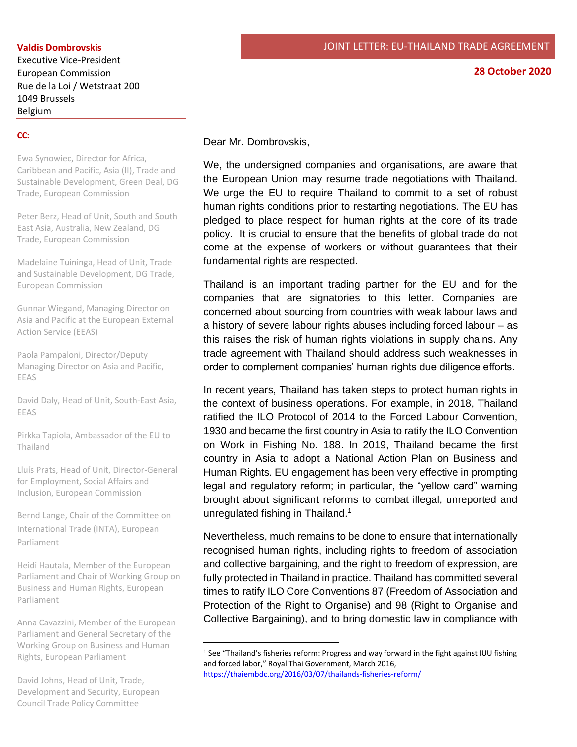## **Valdis Dombrovskis**

Executive Vice-President European Commission Rue de la Loi / Wetstraat 200 1049 Brussels Belgium

#### **28 October 2020**

## **CC:**

Ewa Synowiec, Director for Africa, Caribbean and Pacific, Asia (II), Trade and Sustainable Development, Green Deal, DG Trade, European Commission

Peter Berz, Head of Unit, South and South East Asia, Australia, New Zealand, DG Trade, European Commission

Madelaine Tuininga, Head of Unit, Trade and Sustainable Development, DG Trade, European Commission

Gunnar Wiegand, Managing Director on Asia and Pacific at the European External Action Service (EEAS)

Paola Pampaloni, Director/Deputy Managing Director on Asia and Pacific, EEAS

David Daly, Head of Unit, South-East Asia, EEAS

Pirkka Tapiola, Ambassador of the EU to Thailand

Lluís Prats, Head of Unit, Director-General for Employment, Social Affairs and Inclusion, European Commission

Bernd Lange, Chair of the Committee on International Trade (INTA), European Parliament

Heidi Hautala, Member of the European Parliament and Chair of Working Group on Business and Human Rights, European Parliament

Anna Cavazzini, Member of the European Parliament and General Secretary of the Working Group on Business and Human Rights, European Parliament

David Johns, Head of Unit, Trade, Development and Security, European Council Trade Policy Committee

Dear Mr. Dombrovskis,

We, the undersigned companies and organisations, are aware that the European Union may resume trade negotiations with Thailand. We urge the EU to require Thailand to commit to a set of robust human rights conditions prior to restarting negotiations. The EU has pledged to place respect for human rights at the core of its trade policy. It is crucial to ensure that the benefits of global trade do not come at the expense of workers or without guarantees that their fundamental rights are respected.

Thailand is an important trading partner for the EU and for the companies that are signatories to this letter. Companies are concerned about sourcing from countries with weak labour laws and a history of severe labour rights abuses including forced labour – as this raises the risk of human rights violations in supply chains. Any trade agreement with Thailand should address such weaknesses in order to complement companies' human rights due diligence efforts.

In recent years, Thailand has taken steps to protect human rights in the context of business operations. For example, in 2018, Thailand ratified the ILO Protocol of 2014 to the Forced Labour Convention, 1930 and became the first country in Asia to ratify the ILO Convention on Work in Fishing No. 188. In 2019, Thailand became the first country in Asia to adopt a National Action Plan on Business and Human Rights. EU engagement has been very effective in prompting legal and regulatory reform; in particular, the "yellow card" warning brought about significant reforms to combat illegal, unreported and unregulated fishing in Thailand.<sup>1</sup>

Nevertheless, much remains to be done to ensure that internationally recognised human rights, including rights to freedom of association and collective bargaining, and the right to freedom of expression, are fully protected in Thailand in practice. Thailand has committed several times to ratify ILO Core Conventions 87 (Freedom of Association and Protection of the Right to Organise) and 98 (Right to Organise and Collective Bargaining), and to bring domestic law in compliance with

<sup>1</sup> See "Thailand's fisheries reform: Progress and way forward in the fight against IUU fishing and forced labor," Royal Thai Government, March 2016, <https://thaiembdc.org/2016/03/07/thailands-fisheries-reform/>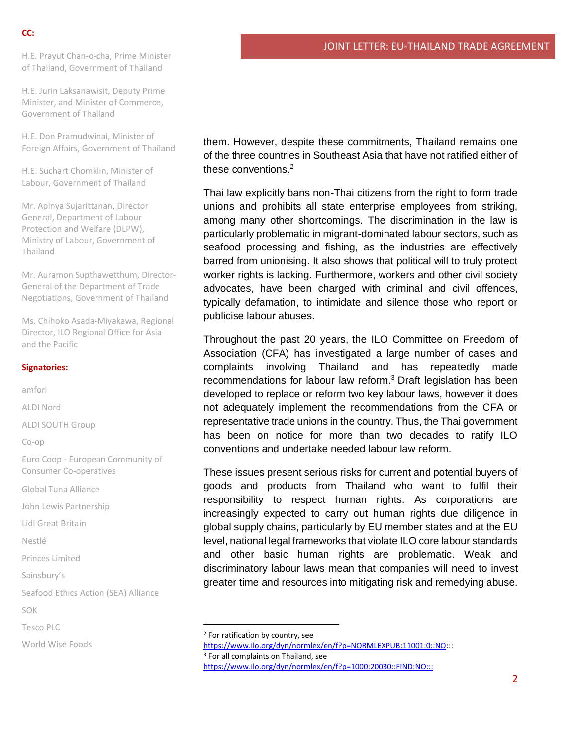H.E. Prayut Chan-o-cha, Prime Minister of Thailand, Government of Thailand

H.E. Jurin Laksanawisit, Deputy Prime Minister, and Minister of Commerce, Government of Thailand

H.E. Don Pramudwinai, Minister of Foreign Affairs, Government of Thailand

H.E. Suchart Chomklin, Minister of Labour, Government of Thailand

Mr. Apinya Sujarittanan, Director General, Department of Labour Protection and Welfare (DLPW), Ministry of Labour, Government of Thailand

Mr. Auramon Supthawetthum, Director-General of the Department of Trade Negotiations, Government of Thailand

Ms. Chihoko Asada-Miyakawa, Regional Director, ILO Regional Office for Asia and the Pacific

### **Signatories:**

amfori ALDI Nord ALDI SOUTH Group Co-op Euro Coop - European Community of Consumer Co-operatives Global Tuna Alliance John Lewis Partnership Lidl Great Britain Nestlé Princes Limited Sainsbury's Seafood Ethics Action (SEA) Alliance SOK Tesco PLC World Wise Foods

them. However, despite these commitments, Thailand remains one of the three countries in Southeast Asia that have not ratified either of these conventions.<sup>2</sup>

Thai law explicitly bans non-Thai citizens from the right to form trade unions and prohibits all state enterprise employees from striking, among many other shortcomings. The discrimination in the law is particularly problematic in migrant-dominated labour sectors, such as seafood processing and fishing, as the industries are effectively barred from unionising. It also shows that political will to truly protect worker rights is lacking. Furthermore, workers and other civil society advocates, have been charged with criminal and civil offences, typically defamation, to intimidate and silence those who report or publicise labour abuses.

Throughout the past 20 years, the ILO Committee on Freedom of Association (CFA) has investigated a large number of cases and complaints involving Thailand and has repeatedly made recommendations for labour law reform.<sup>3</sup> Draft legislation has been developed to replace or reform two key labour laws, however it does not adequately implement the recommendations from the CFA or representative trade unions in the country. Thus, the Thai government has been on notice for more than two decades to ratify ILO conventions and undertake needed labour law reform.

These issues present serious risks for current and potential buyers of goods and products from Thailand who want to fulfil their responsibility to respect human rights. As corporations are increasingly expected to carry out human rights due diligence in global supply chains, particularly by EU member states and at the EU level, national legal frameworks that violate ILO core labour standards and other basic human rights are problematic. Weak and discriminatory labour laws mean that companies will need to invest greater time and resources into mitigating risk and remedying abuse.

<sup>3</sup> For all complaints on Thailand, see

<sup>2</sup> For ratification by country, see

[https://www.ilo.org/dyn/normlex/en/f?p=NORMLEXPUB:11001:0::NO:](https://www.ilo.org/dyn/normlex/en/f?p=NORMLEXPUB:11001:0::NO)::

<https://www.ilo.org/dyn/normlex/en/f?p=1000:20030::FIND:NO:::>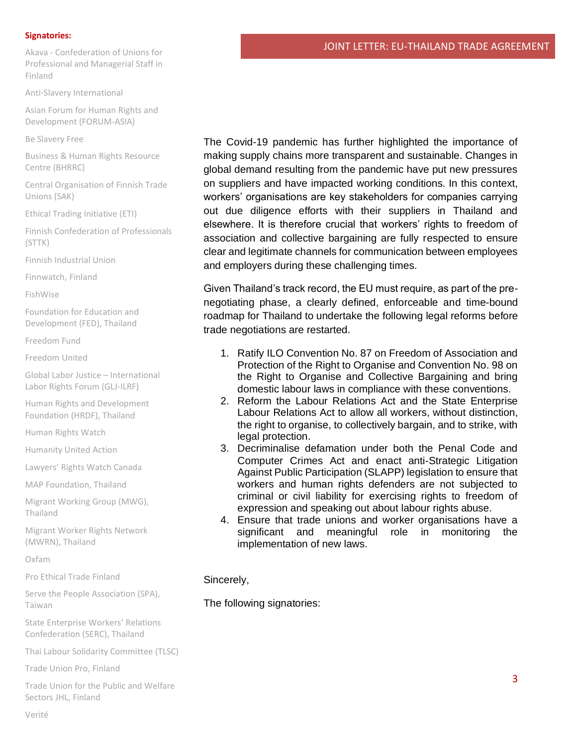#### **Signatories:**

Akava - Confederation of Unions for Professional and Managerial Staff in Finland

Anti-Slavery International

Asian Forum for Human Rights and Development (FORUM-ASIA)

Be Slavery Free

Business & Human Rights Resource Centre (BHRRC)

Central Organisation of Finnish Trade Unions (SAK)

Ethical Trading Initiative (ETI)

Finnish Confederation of Professionals (STTK)

Finnish Industrial Union

Finnwatch, Finland

FishWise

Foundation for Education and Development (FED), Thailand

Freedom Fund

Freedom United

Global Labor Justice – International Labor Rights Forum (GLJ-ILRF)

Human Rights and Development Foundation (HRDF), Thailand

Human Rights Watch

Humanity United Action

Lawyers' Rights Watch Canada

MAP Foundation, Thailand

Migrant Working Group (MWG), Thailand

Migrant Worker Rights Network (MWRN), Thailand

Oxfam

Pro Ethical Trade Finland

Serve the People Association (SPA), Taiwan

State Enterprise Workers' Relations Confederation (SERC), Thailand

Thai Labour Solidarity Committee (TLSC)

Trade Union Pro, Finland

Trade Union for the Public and Welfare Sectors JHL, Finland

Verité

The Covid-19 pandemic has further highlighted the importance of making supply chains more transparent and sustainable. Changes in global demand resulting from the pandemic have put new pressures on suppliers and have impacted working conditions. In this context, workers' organisations are key stakeholders for companies carrying out due diligence efforts with their suppliers in Thailand and elsewhere. It is therefore crucial that workers' rights to freedom of association and collective bargaining are fully respected to ensure clear and legitimate channels for communication between employees and employers during these challenging times.

Given Thailand's track record, the EU must require, as part of the prenegotiating phase, a clearly defined, enforceable and time-bound roadmap for Thailand to undertake the following legal reforms before trade negotiations are restarted.

- 1. Ratify ILO Convention No. 87 on Freedom of Association and Protection of the Right to Organise and Convention No. 98 on the Right to Organise and Collective Bargaining and bring domestic labour laws in compliance with these conventions.
- 2. Reform the Labour Relations Act and the State Enterprise Labour Relations Act to allow all workers, without distinction, the right to organise, to collectively bargain, and to strike, with legal protection.
- 3. Decriminalise defamation under both the Penal Code and Computer Crimes Act and enact anti-Strategic Litigation Against Public Participation (SLAPP) legislation to ensure that workers and human rights defenders are not subjected to criminal or civil liability for exercising rights to freedom of expression and speaking out about labour rights abuse.
- 4. Ensure that trade unions and worker organisations have a significant and meaningful role in monitoring the implementation of new laws.

# Sincerely,

The following signatories: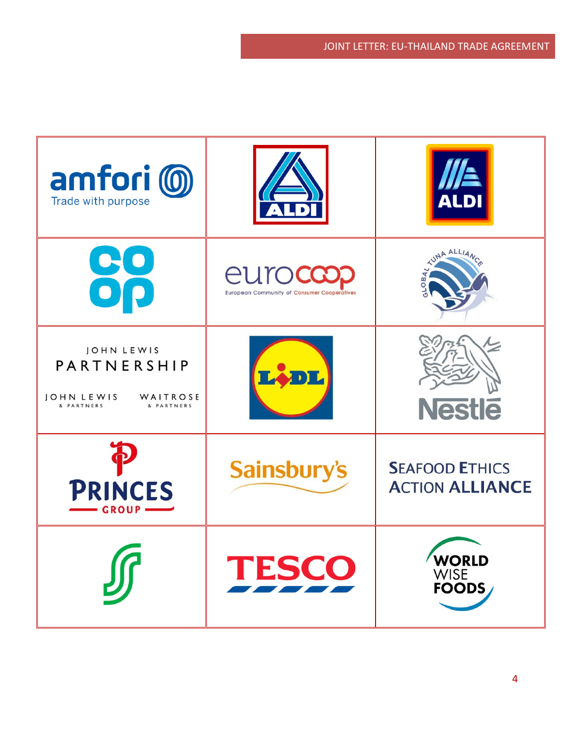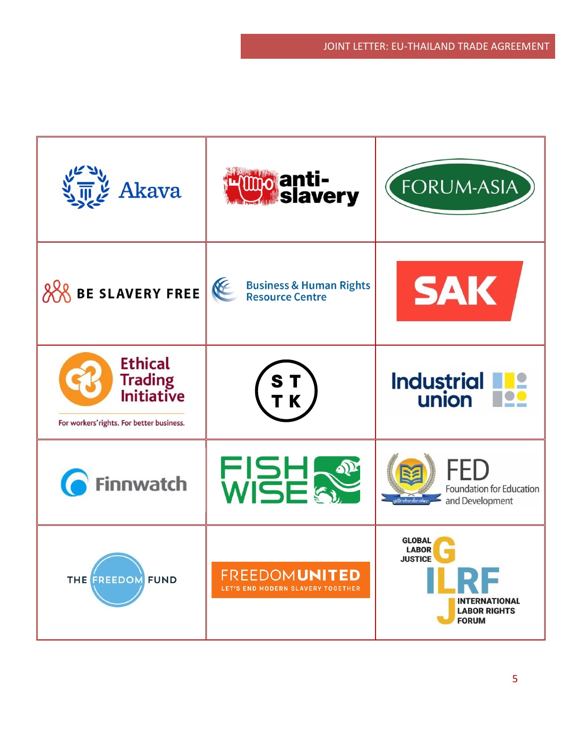| Akava                                                                                              | <b>H<sup>umo</sup> anti-<br/>Kumo slavery</b>                      | <b>FORUM-ASIA</b>                                                                                                      |
|----------------------------------------------------------------------------------------------------|--------------------------------------------------------------------|------------------------------------------------------------------------------------------------------------------------|
| <b>BE SLAVERY FREE</b>                                                                             | KE<br><b>Business &amp; Human Rights</b><br><b>Resource Centre</b> | <b>SAK</b>                                                                                                             |
| <b>Ethical</b><br><b>Trading</b><br><b>Initiative</b><br>For workers' rights. For better business. | ST<br>TK                                                           | <b>Industrial</b><br>union                                                                                             |
| <b>Finnwatch</b>                                                                                   | FISH &                                                             | Foundation for Education<br>and Development                                                                            |
| THE FREEDOM FUND                                                                                   | <b>FREEDOMUNITED</b><br>LET'S END MODERN SLAVERY TOGETHER          | <b>GLOBAI</b><br><b>LABOR</b><br><b>JUSTICE</b><br>ILRF<br><b>INTERNATIONAL</b><br><b>LABOR RIGHTS</b><br><b>FORUM</b> |